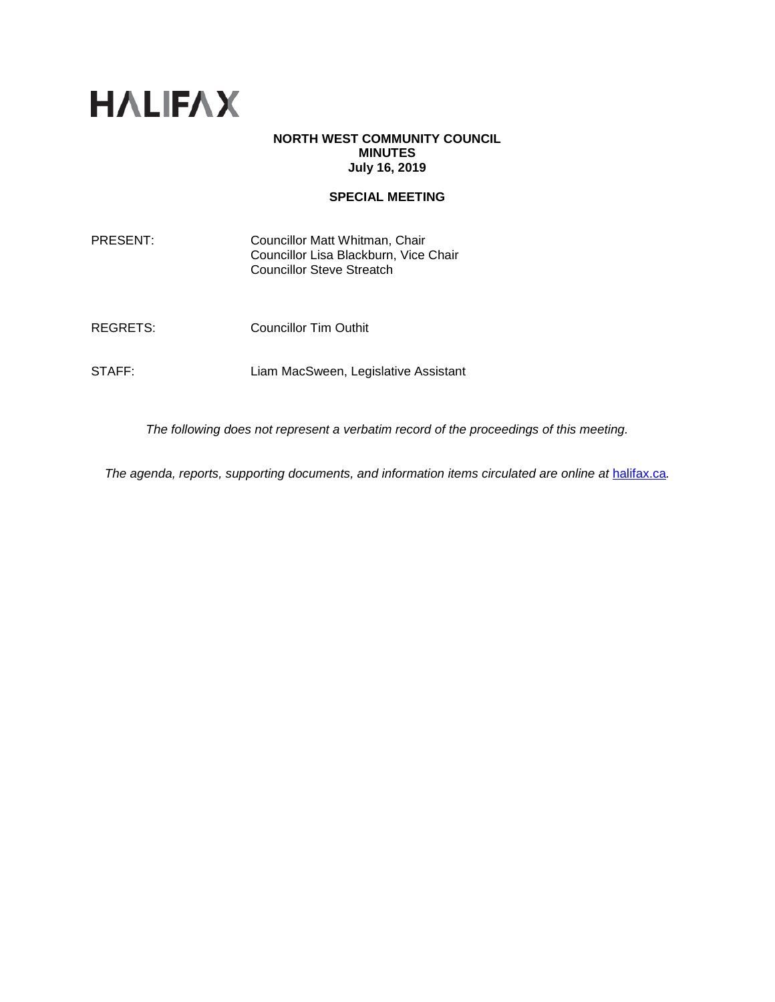

#### **NORTH WEST COMMUNITY COUNCIL MINUTES July 16, 2019**

# **SPECIAL MEETING**

| PRESENT: | Councillor Matt Whitman, Chair<br>Councillor Lisa Blackburn, Vice Chair<br><b>Councillor Steve Streatch</b> |
|----------|-------------------------------------------------------------------------------------------------------------|
| REGRETS: | <b>Councillor Tim Outhit</b>                                                                                |
| STAFF:   | Liam MacSween, Legislative Assistant                                                                        |

*The following does not represent a verbatim record of the proceedings of this meeting.*

*The agenda, reports, supporting documents, and information items circulated are online at [halifax.ca](http://www.halifax.ca/).*